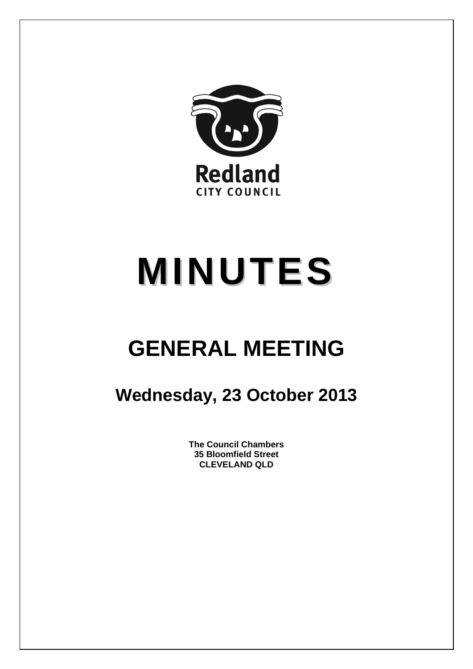

# **MINUTES**

## **GENERAL MEETING**

### **Wednesday, 23 October 2013**

**The Council Chambers 35 Bloomfield Street CLEVELAND QLD**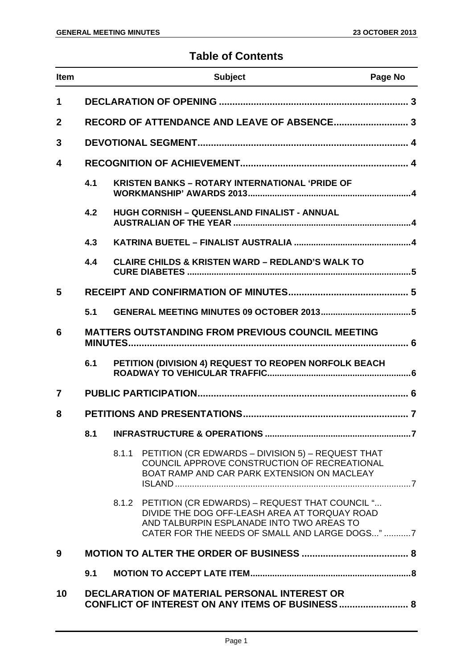#### **Table of Contents**

| <b>Item</b> |     |       | <b>Subject</b>                                                                                                                                                                                       | Page No |
|-------------|-----|-------|------------------------------------------------------------------------------------------------------------------------------------------------------------------------------------------------------|---------|
| 1           |     |       |                                                                                                                                                                                                      |         |
| $\mathbf 2$ |     |       | RECORD OF ATTENDANCE AND LEAVE OF ABSENCE 3                                                                                                                                                          |         |
| 3           |     |       |                                                                                                                                                                                                      |         |
| 4           |     |       |                                                                                                                                                                                                      |         |
|             | 4.1 |       | <b>KRISTEN BANKS - ROTARY INTERNATIONAL 'PRIDE OF</b>                                                                                                                                                |         |
|             | 4.2 |       | HUGH CORNISH - QUEENSLAND FINALIST - ANNUAL                                                                                                                                                          |         |
|             | 4.3 |       |                                                                                                                                                                                                      |         |
|             | 4.4 |       | <b>CLAIRE CHILDS &amp; KRISTEN WARD - REDLAND'S WALK TO</b>                                                                                                                                          |         |
| 5           |     |       |                                                                                                                                                                                                      |         |
|             | 5.1 |       |                                                                                                                                                                                                      |         |
| 6           |     |       | <b>MATTERS OUTSTANDING FROM PREVIOUS COUNCIL MEETING</b>                                                                                                                                             |         |
|             | 6.1 |       | PETITION (DIVISION 4) REQUEST TO REOPEN NORFOLK BEACH                                                                                                                                                |         |
| 7           |     |       |                                                                                                                                                                                                      |         |
| 8           |     |       |                                                                                                                                                                                                      |         |
|             | 8.1 |       |                                                                                                                                                                                                      |         |
|             |     | 8.1.1 | PETITION (CR EDWARDS - DIVISION 5) - REQUEST THAT<br>COUNCIL APPROVE CONSTRUCTION OF RECREATIONAL<br>BOAT RAMP AND CAR PARK EXTENSION ON MACLEAY                                                     |         |
|             |     |       | 8.1.2 PETITION (CR EDWARDS) - REQUEST THAT COUNCIL "<br>DIVIDE THE DOG OFF-LEASH AREA AT TORQUAY ROAD<br>AND TALBURPIN ESPLANADE INTO TWO AREAS TO<br>CATER FOR THE NEEDS OF SMALL AND LARGE DOGS" 7 |         |
| 9           |     |       |                                                                                                                                                                                                      |         |
|             | 9.1 |       |                                                                                                                                                                                                      |         |
| 10          |     |       | DECLARATION OF MATERIAL PERSONAL INTEREST OR<br><b>CONFLICT OF INTEREST ON ANY ITEMS OF BUSINESS 8</b>                                                                                               |         |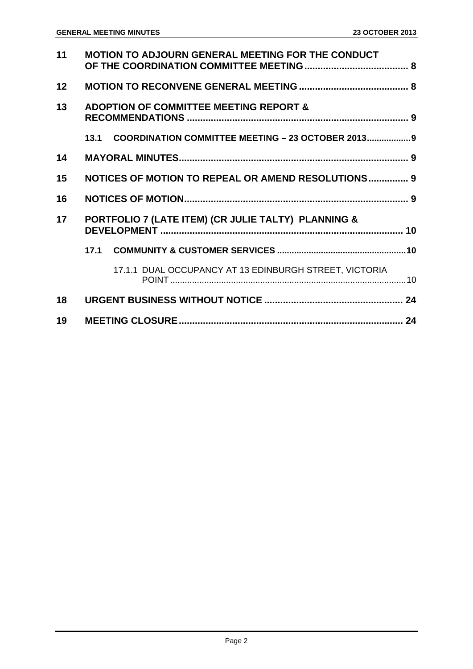| 11 | <b>MOTION TO ADJOURN GENERAL MEETING FOR THE CONDUCT</b>   |  |
|----|------------------------------------------------------------|--|
| 12 |                                                            |  |
| 13 | <b>ADOPTION OF COMMITTEE MEETING REPORT &amp;</b>          |  |
|    | COORDINATION COMMITTEE MEETING - 23 OCTOBER 2013 9<br>13.1 |  |
| 14 |                                                            |  |
| 15 | <b>NOTICES OF MOTION TO REPEAL OR AMEND RESOLUTIONS 9</b>  |  |
|    |                                                            |  |
| 16 |                                                            |  |
| 17 | PORTFOLIO 7 (LATE ITEM) (CR JULIE TALTY) PLANNING &        |  |
|    | 17.1                                                       |  |
|    | 17.1.1 DUAL OCCUPANCY AT 13 EDINBURGH STREET, VICTORIA     |  |
| 18 |                                                            |  |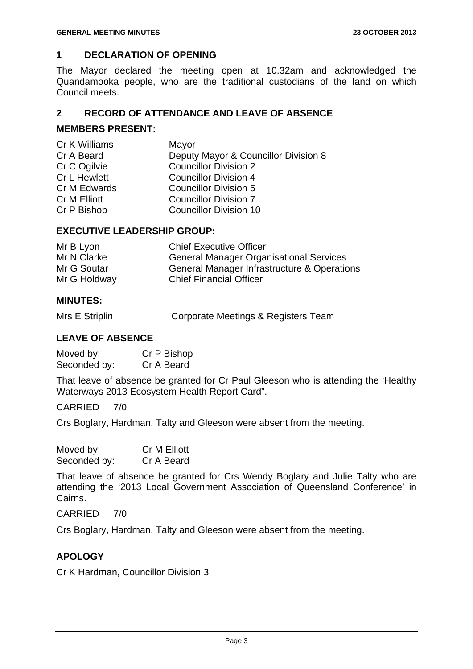#### **1 DECLARATION OF OPENING**

The Mayor declared the meeting open at 10.32am and acknowledged the Quandamooka people, who are the traditional custodians of the land on which Council meets.

#### **2 RECORD OF ATTENDANCE AND LEAVE OF ABSENCE**

#### **MEMBERS PRESENT:**

| Cr K Williams       | Mayor                                |
|---------------------|--------------------------------------|
| Cr A Beard          | Deputy Mayor & Councillor Division 8 |
| Cr C Ogilvie        | <b>Councillor Division 2</b>         |
| <b>Cr L Hewlett</b> | <b>Councillor Division 4</b>         |
| Cr M Edwards        | <b>Councillor Division 5</b>         |
| Cr M Elliott        | <b>Councillor Division 7</b>         |
| Cr P Bishop         | <b>Councillor Division 10</b>        |
|                     |                                      |

#### **EXECUTIVE LEADERSHIP GROUP:**

| Mr B Lyon    | <b>Chief Executive Officer</b>                 |
|--------------|------------------------------------------------|
| Mr N Clarke  | <b>General Manager Organisational Services</b> |
| Mr G Soutar  | General Manager Infrastructure & Operations    |
| Mr G Holdway | <b>Chief Financial Officer</b>                 |

#### **MINUTES:**

Mrs E Striplin Corporate Meetings & Registers Team

#### **LEAVE OF ABSENCE**

Moved by: Cr P Bishop Seconded by: Cr A Beard

That leave of absence be granted for Cr Paul Gleeson who is attending the 'Healthy Waterways 2013 Ecosystem Health Report Card".

CARRIED 7/0

Crs Boglary, Hardman, Talty and Gleeson were absent from the meeting.

| Moved by:    | Cr M Elliott |
|--------------|--------------|
| Seconded by: | Cr A Beard   |

That leave of absence be granted for Crs Wendy Boglary and Julie Talty who are attending the '2013 Local Government Association of Queensland Conference' in Cairns.

CARRIED 7/0

Crs Boglary, Hardman, Talty and Gleeson were absent from the meeting.

#### **APOLOGY**

Cr K Hardman, Councillor Division 3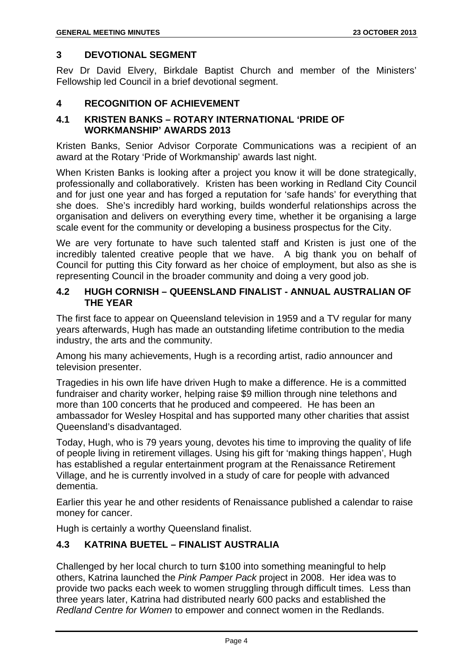#### **3 DEVOTIONAL SEGMENT**

Rev Dr David Elvery, Birkdale Baptist Church and member of the Ministers' Fellowship led Council in a brief devotional segment.

#### **4 RECOGNITION OF ACHIEVEMENT**

#### **4.1 KRISTEN BANKS – ROTARY INTERNATIONAL 'PRIDE OF WORKMANSHIP' AWARDS 2013**

Kristen Banks, Senior Advisor Corporate Communications was a recipient of an award at the Rotary 'Pride of Workmanship' awards last night.

When Kristen Banks is looking after a project you know it will be done strategically, professionally and collaboratively. Kristen has been working in Redland City Council and for just one year and has forged a reputation for 'safe hands' for everything that she does. She's incredibly hard working, builds wonderful relationships across the organisation and delivers on everything every time, whether it be organising a large scale event for the community or developing a business prospectus for the City.

We are very fortunate to have such talented staff and Kristen is just one of the incredibly talented creative people that we have. A big thank you on behalf of Council for putting this City forward as her choice of employment, but also as she is representing Council in the broader community and doing a very good job.

#### **4.2 HUGH CORNISH – QUEENSLAND FINALIST - ANNUAL AUSTRALIAN OF THE YEAR**

The first face to appear on Queensland television in 1959 and a TV regular for many years afterwards, Hugh has made an outstanding lifetime contribution to the media industry, the arts and the community.

Among his many achievements, Hugh is a recording artist, radio announcer and television presenter.

Tragedies in his own life have driven Hugh to make a difference. He is a committed fundraiser and charity worker, helping raise \$9 million through nine telethons and more than 100 concerts that he produced and compeered. He has been an ambassador for Wesley Hospital and has supported many other charities that assist Queensland's disadvantaged.

Today, Hugh, who is 79 years young, devotes his time to improving the quality of life of people living in retirement villages. Using his gift for 'making things happen', Hugh has established a regular entertainment program at the Renaissance Retirement Village, and he is currently involved in a study of care for people with advanced dementia.

Earlier this year he and other residents of Renaissance published a calendar to raise money for cancer.

Hugh is certainly a worthy Queensland finalist.

#### **4.3 KATRINA BUETEL – FINALIST AUSTRALIA**

Challenged by her local church to turn \$100 into something meaningful to help others, Katrina launched the *Pink Pamper Pack* project in 2008. Her idea was to provide two packs each week to women struggling through difficult times. Less than three years later, Katrina had distributed nearly 600 packs and established the *Redland Centre for Women* to empower and connect women in the Redlands.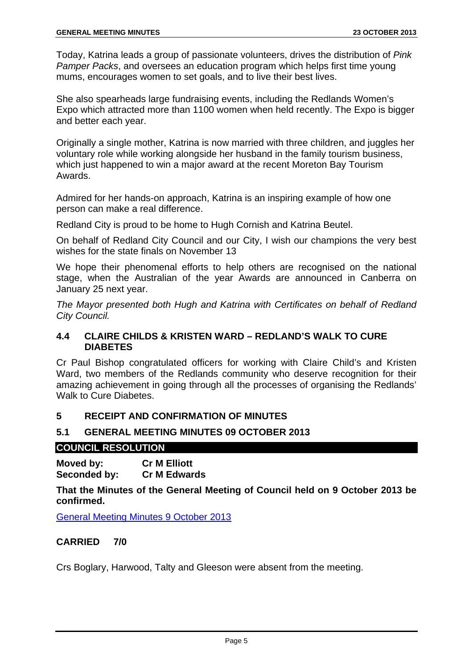Today, Katrina leads a group of passionate volunteers, drives the distribution of *Pink Pamper Packs*, and oversees an education program which helps first time young mums, encourages women to set goals, and to live their best lives.

She also spearheads large fundraising events, including the Redlands Women's Expo which attracted more than 1100 women when held recently. The Expo is bigger and better each year.

Originally a single mother, Katrina is now married with three children, and juggles her voluntary role while working alongside her husband in the family tourism business, which just happened to win a major award at the recent Moreton Bay Tourism Awards.

Admired for her hands-on approach, Katrina is an inspiring example of how one person can make a real difference.

Redland City is proud to be home to Hugh Cornish and Katrina Beutel.

On behalf of Redland City Council and our City, I wish our champions the very best wishes for the state finals on November 13

We hope their phenomenal efforts to help others are recognised on the national stage, when the Australian of the year Awards are announced in Canberra on January 25 next year.

*The Mayor presented both Hugh and Katrina with Certificates on behalf of Redland City Council.* 

#### **4.4 CLAIRE CHILDS & KRISTEN WARD – REDLAND'S WALK TO CURE DIABETES**

Cr Paul Bishop congratulated officers for working with Claire Child's and Kristen Ward, two members of the Redlands community who deserve recognition for their amazing achievement in going through all the processes of organising the Redlands' Walk to Cure Diabetes.

#### **5 RECEIPT AND CONFIRMATION OF MINUTES**

#### **5.1 GENERAL MEETING MINUTES 09 OCTOBER 2013**

#### **COUNCIL RESOLUTION**

**Moved by: Cr M Elliott Seconded by: Cr M Edwards** 

**That the Minutes of the General Meeting of Council held on 9 October 2013 be confirmed.** 

General Meeting Minutes 9 October 2013

#### **CARRIED 7/0**

Crs Boglary, Harwood, Talty and Gleeson were absent from the meeting.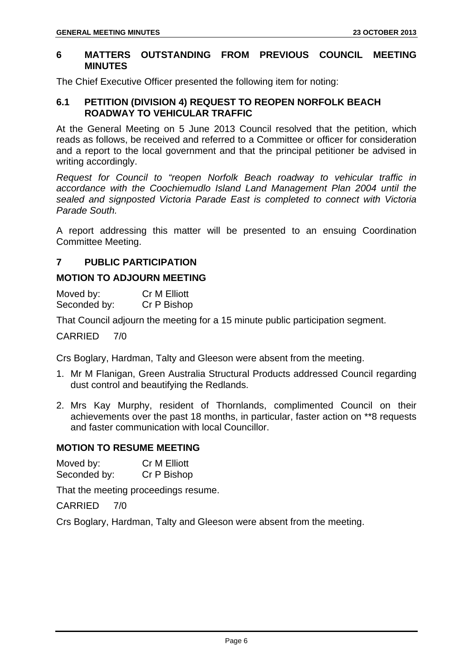#### **6 MATTERS OUTSTANDING FROM PREVIOUS COUNCIL MEETING MINUTES**

The Chief Executive Officer presented the following item for noting:

#### **6.1 PETITION (DIVISION 4) REQUEST TO REOPEN NORFOLK BEACH ROADWAY TO VEHICULAR TRAFFIC**

At the General Meeting on 5 June 2013 Council resolved that the petition, which reads as follows, be received and referred to a Committee or officer for consideration and a report to the local government and that the principal petitioner be advised in writing accordingly.

*Request for Council to "reopen Norfolk Beach roadway to vehicular traffic in accordance with the Coochiemudlo Island Land Management Plan 2004 until the sealed and signposted Victoria Parade East is completed to connect with Victoria Parade South.* 

A report addressing this matter will be presented to an ensuing Coordination Committee Meeting.

#### **7 PUBLIC PARTICIPATION**

#### **MOTION TO ADJOURN MEETING**

Moved by: Cr M Elliott Seconded by: Cr P Bishop

That Council adjourn the meeting for a 15 minute public participation segment.

CARRIED 7/0

Crs Boglary, Hardman, Talty and Gleeson were absent from the meeting.

- 1. Mr M Flanigan, Green Australia Structural Products addressed Council regarding dust control and beautifying the Redlands.
- 2. Mrs Kay Murphy, resident of Thornlands, complimented Council on their achievements over the past 18 months, in particular, faster action on \*\*8 requests and faster communication with local Councillor.

#### **MOTION TO RESUME MEETING**

Moved by: Cr M Elliott Seconded by: Cr P Bishop

That the meeting proceedings resume.

CARRIED 7/0

Crs Boglary, Hardman, Talty and Gleeson were absent from the meeting.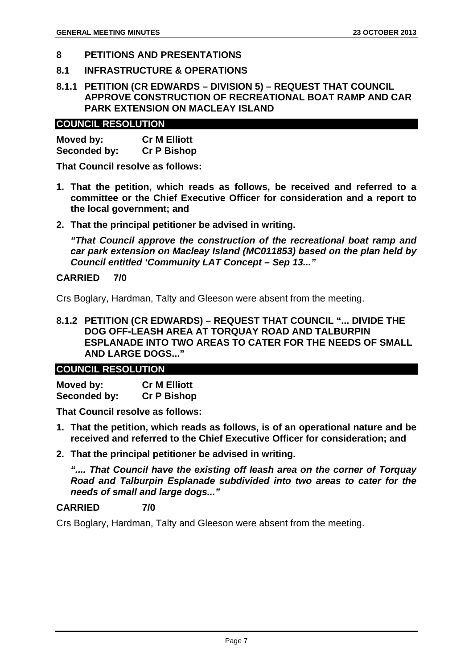#### **8 PETITIONS AND PRESENTATIONS**

#### **8.1 INFRASTRUCTURE & OPERATIONS**

#### **8.1.1 PETITION (CR EDWARDS – DIVISION 5) – REQUEST THAT COUNCIL APPROVE CONSTRUCTION OF RECREATIONAL BOAT RAMP AND CAR PARK EXTENSION ON MACLEAY ISLAND**

#### **COUNCIL RESOLUTION**

| Moved by:    | <b>Cr M Elliott</b> |
|--------------|---------------------|
| Seconded by: | <b>Cr P Bishop</b>  |

**That Council resolve as follows:** 

- **1. That the petition, which reads as follows, be received and referred to a committee or the Chief Executive Officer for consideration and a report to the local government; and**
- **2. That the principal petitioner be advised in writing.**

*"That Council approve the construction of the recreational boat ramp and car park extension on Macleay Island (MC011853) based on the plan held by Council entitled 'Community LAT Concept – Sep 13..."* 

#### **CARRIED 7/0**

Crs Boglary, Hardman, Talty and Gleeson were absent from the meeting.

**8.1.2 PETITION (CR EDWARDS) – REQUEST THAT COUNCIL "... DIVIDE THE DOG OFF-LEASH AREA AT TORQUAY ROAD AND TALBURPIN ESPLANADE INTO TWO AREAS TO CATER FOR THE NEEDS OF SMALL AND LARGE DOGS..."** 

#### **COUNCIL RESOLUTION**

| Moved by:    | <b>Cr M Elliott</b> |
|--------------|---------------------|
| Seconded by: | <b>Cr P Bishop</b>  |

**That Council resolve as follows:** 

- **1. That the petition, which reads as follows, is of an operational nature and be received and referred to the Chief Executive Officer for consideration; and**
- **2. That the principal petitioner be advised in writing.**

*".... That Council have the existing off leash area on the corner of Torquay Road and Talburpin Esplanade subdivided into two areas to cater for the needs of small and large dogs..."* 

#### **CARRIED 7/0**

Crs Boglary, Hardman, Talty and Gleeson were absent from the meeting.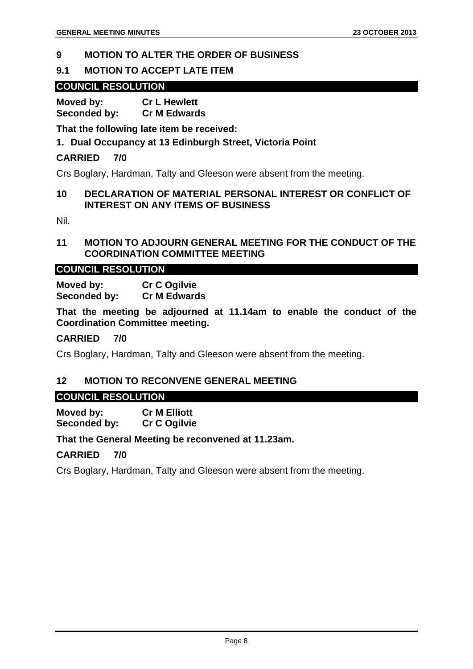#### **9 MOTION TO ALTER THE ORDER OF BUSINESS**

#### **9.1 MOTION TO ACCEPT LATE ITEM**

#### **COUNCIL RESOLUTION**

**Moved by: Cr L Hewlett Seconded by: Cr M Edwards** 

**That the following late item be received:** 

#### **1. Dual Occupancy at 13 Edinburgh Street, Victoria Point**

#### **CARRIED 7/0**

Crs Boglary, Hardman, Talty and Gleeson were absent from the meeting.

#### **10 DECLARATION OF MATERIAL PERSONAL INTEREST OR CONFLICT OF INTEREST ON ANY ITEMS OF BUSINESS**

Nil.

#### **11 MOTION TO ADJOURN GENERAL MEETING FOR THE CONDUCT OF THE COORDINATION COMMITTEE MEETING**

#### **COUNCIL RESOLUTION**

**Moved by: Cr C Ogilvie Seconded by: Cr M Edwards** 

**That the meeting be adjourned at 11.14am to enable the conduct of the Coordination Committee meeting.** 

#### **CARRIED 7/0**

Crs Boglary, Hardman, Talty and Gleeson were absent from the meeting.

#### **12 MOTION TO RECONVENE GENERAL MEETING**

#### **COUNCIL RESOLUTION**

**Moved by: Cr M Elliott Seconded by: Cr C Ogilvie** 

#### **That the General Meeting be reconvened at 11.23am.**

#### **CARRIED 7/0**

Crs Boglary, Hardman, Talty and Gleeson were absent from the meeting.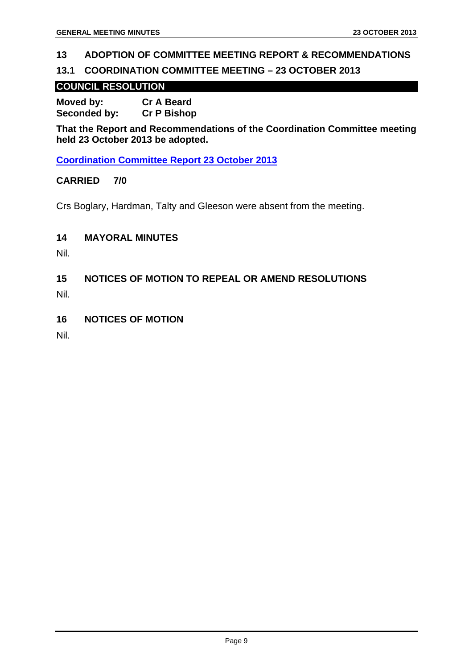#### **13 ADOPTION OF COMMITTEE MEETING REPORT & RECOMMENDATIONS**

#### **13.1 COORDINATION COMMITTEE MEETING – 23 OCTOBER 2013**

#### **COUNCIL RESOLUTION**

**Moved by: Cr A Beard Seconded by: Cr P Bishop** 

**That the Report and Recommendations of the Coordination Committee meeting held 23 October 2013 be adopted.** 

**Coordination Committee Report 23 October 2013**

#### **CARRIED 7/0**

Crs Boglary, Hardman, Talty and Gleeson were absent from the meeting.

#### **14 MAYORAL MINUTES**

Nil.

**15 NOTICES OF MOTION TO REPEAL OR AMEND RESOLUTIONS** 

Nil.

**16 NOTICES OF MOTION** 

Nil.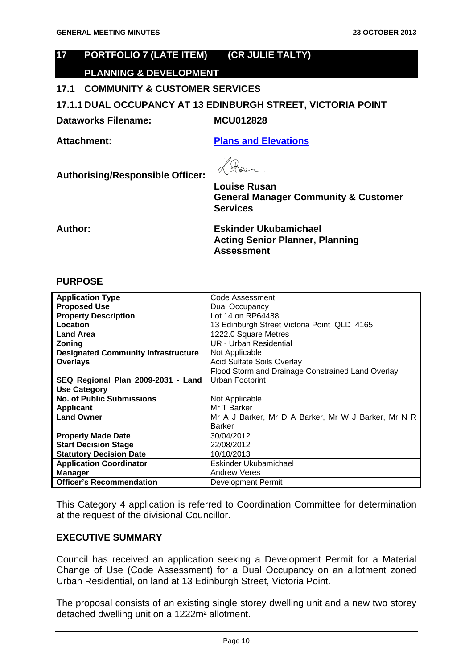#### **17 PORTFOLIO 7 (LATE ITEM) (CR JULIE TALTY) PLANNING & DEVELOPMENT**

#### **17.1 COMMUNITY & CUSTOMER SERVICES**

**17.1.1 DUAL OCCUPANCY AT 13 EDINBURGH STREET, VICTORIA POINT** 

**Dataworks Filename: MCU012828** 

**Attachment: Plans and Elevations**

We

**Services** 

**Authorising/Responsible Officer: Louise Rusan General Manager Community & Customer** 

**Author: Eskinder Ukubamichael Acting Senior Planner, Planning Assessment** 

#### **PURPOSE**

| <b>Application Type</b>                    | Code Assessment                                     |
|--------------------------------------------|-----------------------------------------------------|
| <b>Proposed Use</b>                        | Dual Occupancy                                      |
| <b>Property Description</b>                | Lot 14 on RP64488                                   |
| <b>Location</b>                            | 13 Edinburgh Street Victoria Point QLD 4165         |
| <b>Land Area</b>                           | 1222.0 Square Metres                                |
| Zoning                                     | <b>UR - Urban Residential</b>                       |
| <b>Designated Community Infrastructure</b> | Not Applicable                                      |
| <b>Overlays</b>                            | <b>Acid Sulfate Soils Overlay</b>                   |
|                                            | Flood Storm and Drainage Constrained Land Overlay   |
| SEQ Regional Plan 2009-2031 - Land         | Urban Footprint                                     |
| <b>Use Category</b>                        |                                                     |
| <b>No. of Public Submissions</b>           | Not Applicable                                      |
| <b>Applicant</b>                           | Mr T Barker                                         |
| <b>Land Owner</b>                          | Mr A J Barker, Mr D A Barker, Mr W J Barker, Mr N R |
|                                            | <b>Barker</b>                                       |
| <b>Properly Made Date</b>                  | 30/04/2012                                          |
| <b>Start Decision Stage</b>                | 22/08/2012                                          |
| <b>Statutory Decision Date</b>             | 10/10/2013                                          |
| <b>Application Coordinator</b>             | Eskinder Ukubamichael                               |
| <b>Manager</b>                             | <b>Andrew Veres</b>                                 |
| <b>Officer's Recommendation</b>            | Development Permit                                  |

This Category 4 application is referred to Coordination Committee for determination at the request of the divisional Councillor.

#### **EXECUTIVE SUMMARY**

Council has received an application seeking a Development Permit for a Material Change of Use (Code Assessment) for a Dual Occupancy on an allotment zoned Urban Residential, on land at 13 Edinburgh Street, Victoria Point.

The proposal consists of an existing single storey dwelling unit and a new two storey detached dwelling unit on a 1222m² allotment.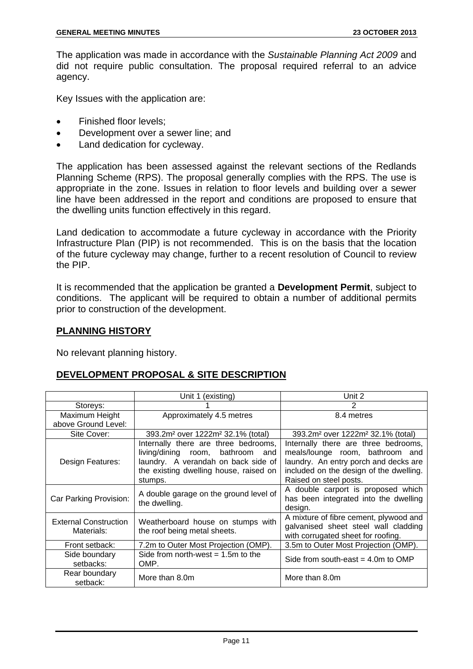The application was made in accordance with the *Sustainable Planning Act 2009* and did not require public consultation. The proposal required referral to an advice agency.

Key Issues with the application are:

- Finished floor levels;
- Development over a sewer line; and
- Land dedication for cycleway.

The application has been assessed against the relevant sections of the Redlands Planning Scheme (RPS). The proposal generally complies with the RPS. The use is appropriate in the zone. Issues in relation to floor levels and building over a sewer line have been addressed in the report and conditions are proposed to ensure that the dwelling units function effectively in this regard.

Land dedication to accommodate a future cycleway in accordance with the Priority Infrastructure Plan (PIP) is not recommended. This is on the basis that the location of the future cycleway may change, further to a recent resolution of Council to review the PIP.

It is recommended that the application be granted a **Development Permit**, subject to conditions. The applicant will be required to obtain a number of additional permits prior to construction of the development.

#### **PLANNING HISTORY**

No relevant planning history.

#### **DEVELOPMENT PROPOSAL & SITE DESCRIPTION**

|                                            | Unit 1 (existing)                                                                                                                                                       | Unit 2                                                                                                                                                                                |
|--------------------------------------------|-------------------------------------------------------------------------------------------------------------------------------------------------------------------------|---------------------------------------------------------------------------------------------------------------------------------------------------------------------------------------|
| Storeys:                                   |                                                                                                                                                                         | 2                                                                                                                                                                                     |
| Maximum Height                             | Approximately 4.5 metres                                                                                                                                                | 8.4 metres                                                                                                                                                                            |
| above Ground Level:                        |                                                                                                                                                                         |                                                                                                                                                                                       |
| Site Cover:                                | 393.2m <sup>2</sup> over 1222m <sup>2</sup> 32.1% (total)                                                                                                               | 393.2m <sup>2</sup> over 1222m <sup>2</sup> 32.1% (total)                                                                                                                             |
| Design Features:                           | Internally there are three bedrooms,<br>living/dining room, bathroom<br>and<br>laundry. A verandah on back side of<br>the existing dwelling house, raised on<br>stumps. | Internally there are three bedrooms,<br>meals/lounge room, bathroom and<br>laundry. An entry porch and decks are<br>included on the design of the dwelling.<br>Raised on steel posts. |
| Car Parking Provision:                     | A double garage on the ground level of<br>the dwelling.                                                                                                                 | A double carport is proposed which<br>has been integrated into the dwelling<br>design.                                                                                                |
| <b>External Construction</b><br>Materials: | Weatherboard house on stumps with<br>the roof being metal sheets.                                                                                                       | A mixture of fibre cement, plywood and<br>galvanised sheet steel wall cladding<br>with corrugated sheet for roofing.                                                                  |
| Front setback:                             | 7.2m to Outer Most Projection (OMP).                                                                                                                                    | 3.5m to Outer Most Projection (OMP).                                                                                                                                                  |
| Side boundary<br>setbacks:                 | Side from north-west $= 1.5$ m to the<br>OMP.                                                                                                                           | Side from south-east $=$ 4.0m to OMP                                                                                                                                                  |
| Rear boundary<br>setback:                  | More than 8.0m                                                                                                                                                          | More than 8.0m                                                                                                                                                                        |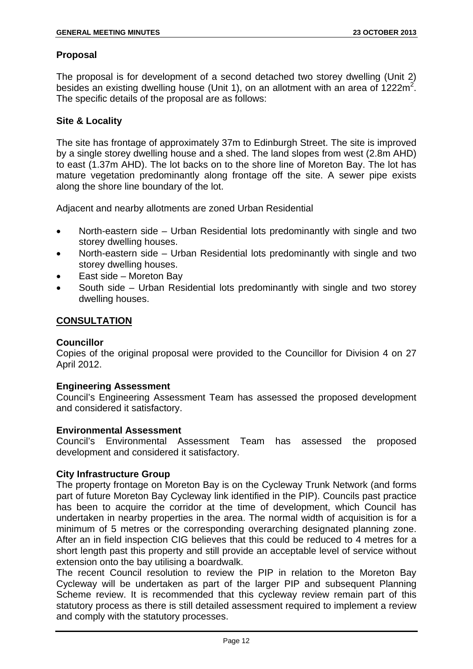#### **Proposal**

The proposal is for development of a second detached two storey dwelling (Unit 2) besides an existing dwelling house (Unit 1), on an allotment with an area of  $1222m^2$ . The specific details of the proposal are as follows:

#### **Site & Locality**

The site has frontage of approximately 37m to Edinburgh Street. The site is improved by a single storey dwelling house and a shed. The land slopes from west (2.8m AHD) to east (1.37m AHD). The lot backs on to the shore line of Moreton Bay. The lot has mature vegetation predominantly along frontage off the site. A sewer pipe exists along the shore line boundary of the lot.

Adjacent and nearby allotments are zoned Urban Residential

- North-eastern side Urban Residential lots predominantly with single and two storey dwelling houses.
- North-eastern side Urban Residential lots predominantly with single and two storey dwelling houses.
- East side Moreton Bay
- South side Urban Residential lots predominantly with single and two storey dwelling houses.

#### **CONSULTATION**

#### **Councillor**

Copies of the original proposal were provided to the Councillor for Division 4 on 27 April 2012.

#### **Engineering Assessment**

Council's Engineering Assessment Team has assessed the proposed development and considered it satisfactory.

#### **Environmental Assessment**

Council's Environmental Assessment Team has assessed the proposed development and considered it satisfactory.

#### **City Infrastructure Group**

The property frontage on Moreton Bay is on the Cycleway Trunk Network (and forms part of future Moreton Bay Cycleway link identified in the PIP). Councils past practice has been to acquire the corridor at the time of development, which Council has undertaken in nearby properties in the area. The normal width of acquisition is for a minimum of 5 metres or the corresponding overarching designated planning zone. After an in field inspection CIG believes that this could be reduced to 4 metres for a short length past this property and still provide an acceptable level of service without extension onto the bay utilising a boardwalk.

The recent Council resolution to review the PIP in relation to the Moreton Bay Cycleway will be undertaken as part of the larger PIP and subsequent Planning Scheme review. It is recommended that this cycleway review remain part of this statutory process as there is still detailed assessment required to implement a review and comply with the statutory processes.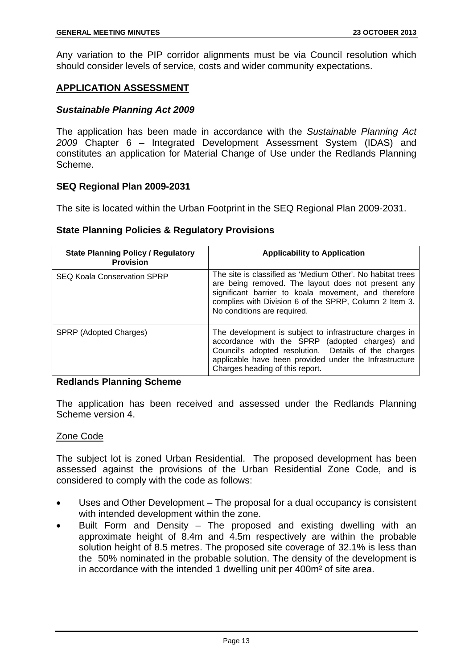Any variation to the PIP corridor alignments must be via Council resolution which should consider levels of service, costs and wider community expectations.

#### **APPLICATION ASSESSMENT**

#### *Sustainable Planning Act 2009*

The application has been made in accordance with the *Sustainable Planning Act 2009* Chapter 6 – Integrated Development Assessment System (IDAS) and constitutes an application for Material Change of Use under the Redlands Planning Scheme.

#### **SEQ Regional Plan 2009-2031**

The site is located within the Urban Footprint in the SEQ Regional Plan 2009-2031.

#### **State Planning Policies & Regulatory Provisions**

| <b>State Planning Policy / Regulatory</b><br><b>Provision</b> | <b>Applicability to Application</b>                                                                                                                                                                                                                               |
|---------------------------------------------------------------|-------------------------------------------------------------------------------------------------------------------------------------------------------------------------------------------------------------------------------------------------------------------|
| <b>SEQ Koala Conservation SPRP</b>                            | The site is classified as 'Medium Other'. No habitat trees<br>are being removed. The layout does not present any<br>significant barrier to koala movement, and therefore<br>complies with Division 6 of the SPRP, Column 2 Item 3.<br>No conditions are required. |
| SPRP (Adopted Charges)                                        | The development is subject to infrastructure charges in<br>accordance with the SPRP (adopted charges) and<br>Council's adopted resolution. Details of the charges<br>applicable have been provided under the Infrastructure<br>Charges heading of this report.    |

#### **Redlands Planning Scheme**

The application has been received and assessed under the Redlands Planning Scheme version 4.

#### Zone Code

The subject lot is zoned Urban Residential. The proposed development has been assessed against the provisions of the Urban Residential Zone Code, and is considered to comply with the code as follows:

- Uses and Other Development The proposal for a dual occupancy is consistent with intended development within the zone.
- Built Form and Density The proposed and existing dwelling with an approximate height of 8.4m and 4.5m respectively are within the probable solution height of 8.5 metres. The proposed site coverage of 32.1% is less than the 50% nominated in the probable solution. The density of the development is in accordance with the intended 1 dwelling unit per 400m² of site area.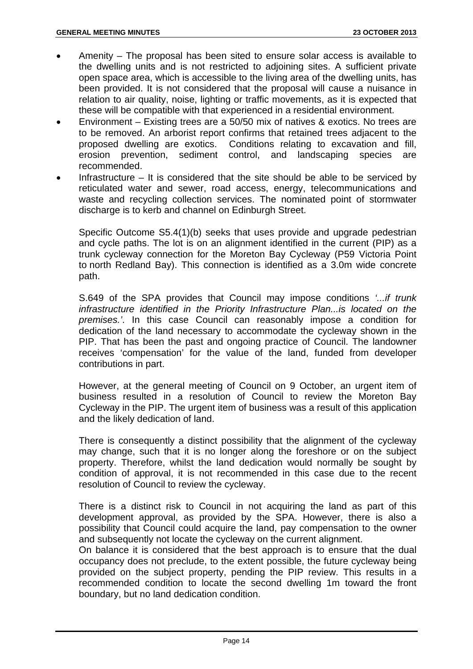- Amenity The proposal has been sited to ensure solar access is available to the dwelling units and is not restricted to adjoining sites. A sufficient private open space area, which is accessible to the living area of the dwelling units, has been provided. It is not considered that the proposal will cause a nuisance in relation to air quality, noise, lighting or traffic movements, as it is expected that these will be compatible with that experienced in a residential environment.
- Environment Existing trees are a 50/50 mix of natives & exotics. No trees are to be removed. An arborist report confirms that retained trees adjacent to the proposed dwelling are exotics. Conditions relating to excavation and fill, erosion prevention, sediment control, and landscaping species are recommended.
- Infrastructure  $-$  It is considered that the site should be able to be serviced by reticulated water and sewer, road access, energy, telecommunications and waste and recycling collection services. The nominated point of stormwater discharge is to kerb and channel on Edinburgh Street.

Specific Outcome S5.4(1)(b) seeks that uses provide and upgrade pedestrian and cycle paths. The lot is on an alignment identified in the current (PIP) as a trunk cycleway connection for the Moreton Bay Cycleway (P59 Victoria Point to north Redland Bay). This connection is identified as a 3.0m wide concrete path.

S.649 of the SPA provides that Council may impose conditions *'...if trunk infrastructure identified in the Priority Infrastructure Plan...is located on the premises.'*. In this case Council can reasonably impose a condition for dedication of the land necessary to accommodate the cycleway shown in the PIP. That has been the past and ongoing practice of Council. The landowner receives 'compensation' for the value of the land, funded from developer contributions in part.

However, at the general meeting of Council on 9 October, an urgent item of business resulted in a resolution of Council to review the Moreton Bay Cycleway in the PIP. The urgent item of business was a result of this application and the likely dedication of land.

There is consequently a distinct possibility that the alignment of the cycleway may change, such that it is no longer along the foreshore or on the subject property. Therefore, whilst the land dedication would normally be sought by condition of approval, it is not recommended in this case due to the recent resolution of Council to review the cycleway.

There is a distinct risk to Council in not acquiring the land as part of this development approval, as provided by the SPA. However, there is also a possibility that Council could acquire the land, pay compensation to the owner and subsequently not locate the cycleway on the current alignment.

On balance it is considered that the best approach is to ensure that the dual occupancy does not preclude, to the extent possible, the future cycleway being provided on the subject property, pending the PIP review. This results in a recommended condition to locate the second dwelling 1m toward the front boundary, but no land dedication condition.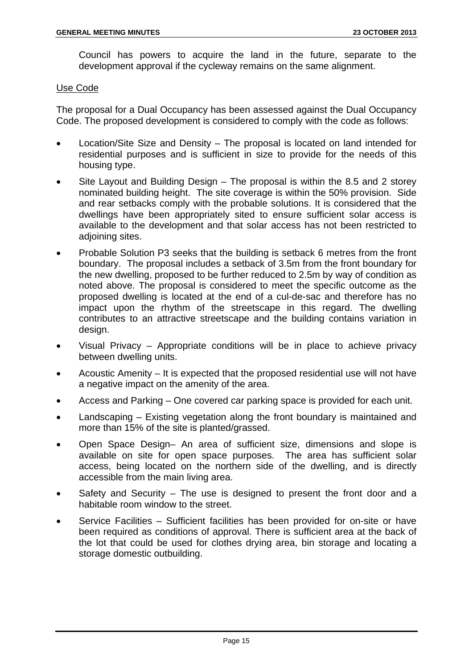Council has powers to acquire the land in the future, separate to the development approval if the cycleway remains on the same alignment.

#### Use Code

The proposal for a Dual Occupancy has been assessed against the Dual Occupancy Code. The proposed development is considered to comply with the code as follows:

- Location/Site Size and Density The proposal is located on land intended for residential purposes and is sufficient in size to provide for the needs of this housing type.
- Site Layout and Building Design The proposal is within the 8.5 and 2 storey nominated building height. The site coverage is within the 50% provision. Side and rear setbacks comply with the probable solutions. It is considered that the dwellings have been appropriately sited to ensure sufficient solar access is available to the development and that solar access has not been restricted to adjoining sites.
- Probable Solution P3 seeks that the building is setback 6 metres from the front boundary. The proposal includes a setback of 3.5m from the front boundary for the new dwelling, proposed to be further reduced to 2.5m by way of condition as noted above. The proposal is considered to meet the specific outcome as the proposed dwelling is located at the end of a cul-de-sac and therefore has no impact upon the rhythm of the streetscape in this regard. The dwelling contributes to an attractive streetscape and the building contains variation in design.
- Visual Privacy Appropriate conditions will be in place to achieve privacy between dwelling units.
- Acoustic Amenity It is expected that the proposed residential use will not have a negative impact on the amenity of the area.
- Access and Parking One covered car parking space is provided for each unit.
- Landscaping Existing vegetation along the front boundary is maintained and more than 15% of the site is planted/grassed.
- Open Space Design– An area of sufficient size, dimensions and slope is available on site for open space purposes. The area has sufficient solar access, being located on the northern side of the dwelling, and is directly accessible from the main living area.
- Safety and Security  $-$  The use is designed to present the front door and a habitable room window to the street.
- Service Facilities Sufficient facilities has been provided for on-site or have been required as conditions of approval. There is sufficient area at the back of the lot that could be used for clothes drying area, bin storage and locating a storage domestic outbuilding.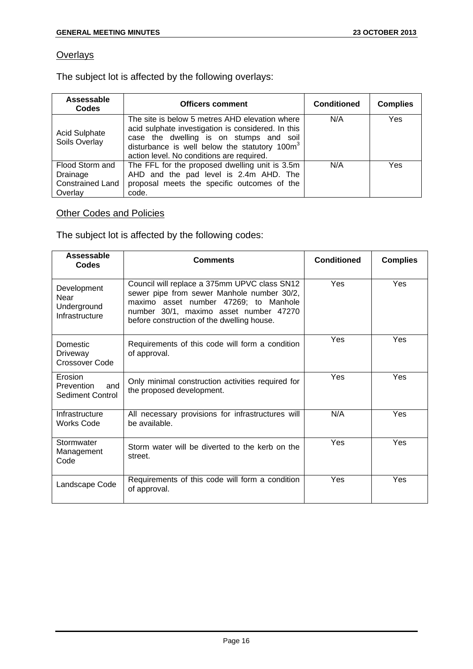#### **Overlays**

The subject lot is affected by the following overlays:

| Assessable<br>Codes                   | <b>Officers comment</b>                                                                                                                                                                                                                                   | <b>Conditioned</b> | <b>Complies</b> |
|---------------------------------------|-----------------------------------------------------------------------------------------------------------------------------------------------------------------------------------------------------------------------------------------------------------|--------------------|-----------------|
| <b>Acid Sulphate</b><br>Soils Overlay | The site is below 5 metres AHD elevation where<br>acid sulphate investigation is considered. In this<br>case the dwelling is on stumps and soil<br>disturbance is well below the statutory 100m <sup>3</sup><br>action level. No conditions are required. | N/A                | Yes             |
| Flood Storm and<br>Drainage           | The FFL for the proposed dwelling unit is 3.5m<br>AHD and the pad level is 2.4m AHD. The                                                                                                                                                                  | N/A                | Yes             |
| <b>Constrained Land</b><br>Overlay    | proposal meets the specific outcomes of the<br>code.                                                                                                                                                                                                      |                    |                 |

#### **Other Codes and Policies**

The subject lot is affected by the following codes:

| Assessable<br>Codes                                  | <b>Comments</b>                                                                                                                                                                                                             | <b>Conditioned</b> | <b>Complies</b> |
|------------------------------------------------------|-----------------------------------------------------------------------------------------------------------------------------------------------------------------------------------------------------------------------------|--------------------|-----------------|
| Development<br>Near<br>Underground<br>Infrastructure | Council will replace a 375mm UPVC class SN12<br>sewer pipe from sewer Manhole number 30/2,<br>maximo asset number 47269; to Manhole<br>number 30/1, maximo asset number 47270<br>before construction of the dwelling house. | Yes                | <b>Yes</b>      |
| Domestic<br>Driveway<br><b>Crossover Code</b>        | Requirements of this code will form a condition<br>of approval.                                                                                                                                                             | Yes                | Yes             |
| Erosion<br>Prevention<br>and<br>Sediment Control     | Only minimal construction activities required for<br>the proposed development.                                                                                                                                              | Yes                | Yes             |
| Infrastructure<br><b>Works Code</b>                  | All necessary provisions for infrastructures will<br>be available.                                                                                                                                                          | N/A                | Yes             |
| Stormwater<br>Management<br>Code                     | Storm water will be diverted to the kerb on the<br>street.                                                                                                                                                                  | Yes                | <b>Yes</b>      |
| Landscape Code                                       | Requirements of this code will form a condition<br>of approval.                                                                                                                                                             | Yes                | Yes             |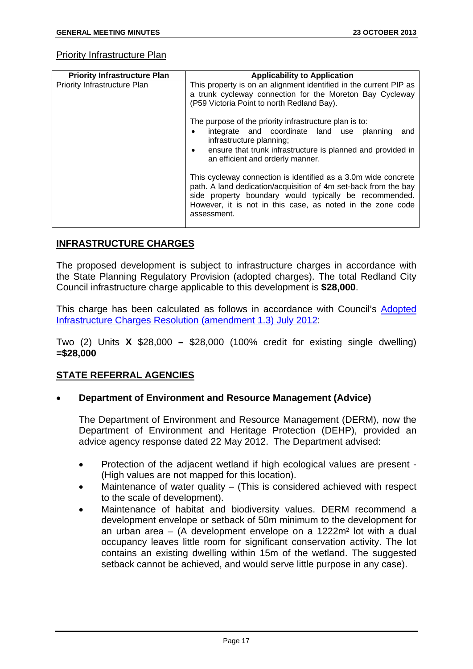#### Priority Infrastructure Plan

| <b>Priority Infrastructure Plan</b> | <b>Applicability to Application</b>                                                                                                                                                                                                                                      |  |
|-------------------------------------|--------------------------------------------------------------------------------------------------------------------------------------------------------------------------------------------------------------------------------------------------------------------------|--|
| <b>Priority Infrastructure Plan</b> | This property is on an alignment identified in the current PIP as<br>a trunk cycleway connection for the Moreton Bay Cycleway<br>(P59 Victoria Point to north Redland Bay).                                                                                              |  |
|                                     | The purpose of the priority infrastructure plan is to:<br>integrate and coordinate land use planning<br>and<br>infrastructure planning;<br>ensure that trunk infrastructure is planned and provided in<br>$\bullet$<br>an efficient and orderly manner.                  |  |
|                                     | This cycleway connection is identified as a 3.0m wide concrete<br>path. A land dedication/acquisition of 4m set-back from the bay<br>side property boundary would typically be recommended.<br>However, it is not in this case, as noted in the zone code<br>assessment. |  |

#### **INFRASTRUCTURE CHARGES**

The proposed development is subject to infrastructure charges in accordance with the State Planning Regulatory Provision (adopted charges). The total Redland City Council infrastructure charge applicable to this development is **\$28,000**.

This charge has been calculated as follows in accordance with Council's Adopted Infrastructure Charges Resolution (amendment 1.3) July 2012:

Two (2) Units **X** \$28,000 **–** \$28,000 (100% credit for existing single dwelling) **=\$28,000**

#### **STATE REFERRAL AGENCIES**

#### • **Department of Environment and Resource Management (Advice)**

The Department of Environment and Resource Management (DERM), now the Department of Environment and Heritage Protection (DEHP), provided an advice agency response dated 22 May 2012. The Department advised:

- Protection of the adjacent wetland if high ecological values are present (High values are not mapped for this location).
- Maintenance of water quality  $-$  (This is considered achieved with respect to the scale of development).
- Maintenance of habitat and biodiversity values. DERM recommend a development envelope or setback of 50m minimum to the development for an urban area  $-$  (A development envelope on a 1222 $m<sup>2</sup>$  lot with a dual occupancy leaves little room for significant conservation activity. The lot contains an existing dwelling within 15m of the wetland. The suggested setback cannot be achieved, and would serve little purpose in any case).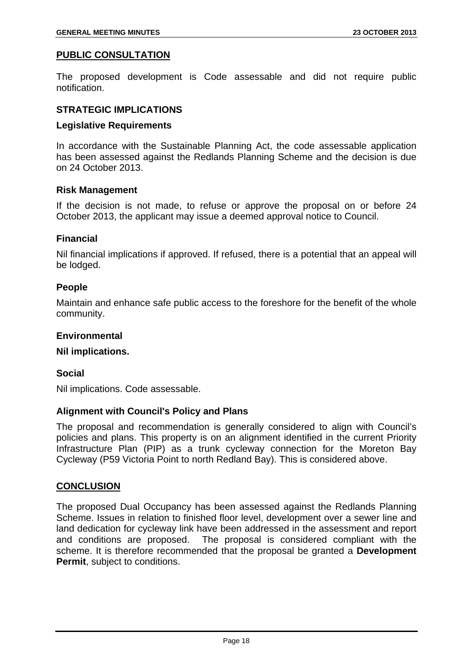#### **PUBLIC CONSULTATION**

The proposed development is Code assessable and did not require public notification.

#### **STRATEGIC IMPLICATIONS**

#### **Legislative Requirements**

In accordance with the Sustainable Planning Act, the code assessable application has been assessed against the Redlands Planning Scheme and the decision is due on 24 October 2013.

#### **Risk Management**

If the decision is not made, to refuse or approve the proposal on or before 24 October 2013, the applicant may issue a deemed approval notice to Council.

#### **Financial**

Nil financial implications if approved. If refused, there is a potential that an appeal will be lodged.

#### **People**

Maintain and enhance safe public access to the foreshore for the benefit of the whole community.

#### **Environmental**

#### **Nil implications.**

#### **Social**

Nil implications. Code assessable.

#### **Alignment with Council's Policy and Plans**

The proposal and recommendation is generally considered to align with Council's policies and plans. This property is on an alignment identified in the current Priority Infrastructure Plan (PIP) as a trunk cycleway connection for the Moreton Bay Cycleway (P59 Victoria Point to north Redland Bay). This is considered above.

#### **CONCLUSION**

The proposed Dual Occupancy has been assessed against the Redlands Planning Scheme. Issues in relation to finished floor level, development over a sewer line and land dedication for cycleway link have been addressed in the assessment and report and conditions are proposed. The proposal is considered compliant with the scheme. It is therefore recommended that the proposal be granted a **Development Permit.** subject to conditions.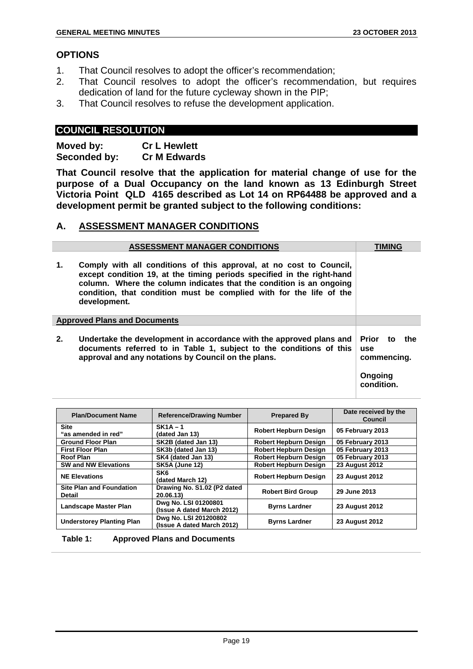#### **OPTIONS**

- 1. That Council resolves to adopt the officer's recommendation;
- 2. That Council resolves to adopt the officer's recommendation, but requires dedication of land for the future cycleway shown in the PIP;
- 3. That Council resolves to refuse the development application.

#### **COUNCIL RESOLUTION**

**Moved by: Cr L Hewlett Seconded by: Cr M Edwards** 

**That Council resolve that the application for material change of use for the purpose of a Dual Occupancy on the land known as 13 Edinburgh Street Victoria Point QLD 4165 described as Lot 14 on RP64488 be approved and a development permit be granted subject to the following conditions:**

#### **A. ASSESSMENT MANAGER CONDITIONS**

|                                     | <b>ASSESSMENT MANAGER CONDITIONS</b>                                                                                                                                                                                                                                                                        | <b>TIMING</b>                                                         |
|-------------------------------------|-------------------------------------------------------------------------------------------------------------------------------------------------------------------------------------------------------------------------------------------------------------------------------------------------------------|-----------------------------------------------------------------------|
| 1.                                  | Comply with all conditions of this approval, at no cost to Council,<br>except condition 19, at the timing periods specified in the right-hand<br>column. Where the column indicates that the condition is an ongoing<br>condition, that condition must be complied with for the life of the<br>development. |                                                                       |
| <b>Approved Plans and Documents</b> |                                                                                                                                                                                                                                                                                                             |                                                                       |
| 2.                                  | Undertake the development in accordance with the approved plans and<br>documents referred to in Table 1, subject to the conditions of this<br>approval and any notations by Council on the plans.                                                                                                           | Prior to<br>the<br><b>use</b><br>commencing.<br>Ongoing<br>condition. |

| <b>Plan/Document Name</b>                        | <b>Reference/Drawing Number</b>                     | <b>Prepared By</b>           | Date received by the<br>Council |
|--------------------------------------------------|-----------------------------------------------------|------------------------------|---------------------------------|
| <b>Site</b><br>"as amended in red"               | $SK1A - 1$<br>(dated Jan 13)                        | Robert Hepburn Design        | 05 February 2013                |
| <b>Ground Floor Plan</b>                         | SK2B (dated Jan 13)                                 | Robert Hepburn Design        | 05 February 2013                |
| <b>First Floor Plan</b>                          | SK3b (dated Jan 13)                                 | <b>Robert Hepburn Design</b> | 05 February 2013                |
| Roof Plan                                        | SK4 (dated Jan 13)                                  | <b>Robert Hepburn Design</b> | 05 February 2013                |
| <b>SW and NW Elevations</b>                      | <b>SK5A (June 12)</b>                               | <b>Robert Hepburn Design</b> | <b>23 August 2012</b>           |
| <b>NE Elevations</b>                             | SK <sub>6</sub><br>(dated March 12)                 | <b>Robert Hepburn Design</b> | <b>23 August 2012</b>           |
| <b>Site Plan and Foundation</b><br><b>Detail</b> | Drawing No. S1.02 (P2 dated<br>20.06.13)            | <b>Robert Bird Group</b>     | 29 June 2013                    |
| <b>Landscape Master Plan</b>                     | Dwg No. LSI 01200801<br>(Issue A dated March 2012)  | <b>Byrns Lardner</b>         | <b>23 August 2012</b>           |
| <b>Understorey Planting Plan</b>                 | Dwg No. LSI 201200802<br>(Issue A dated March 2012) | <b>Byrns Lardner</b>         | <b>23 August 2012</b>           |

**Table 1: Approved Plans and Documents**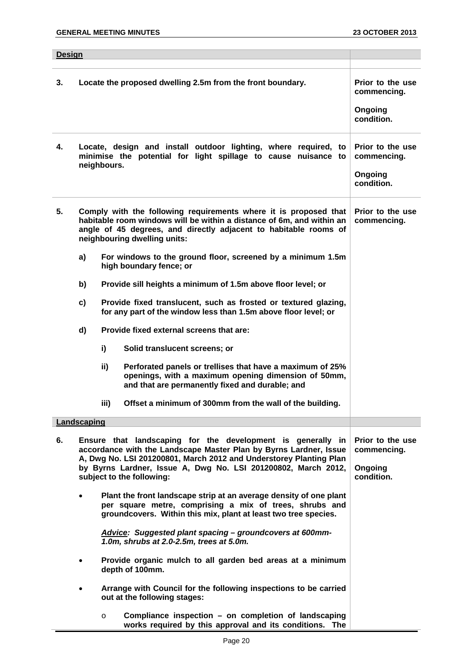| <b>Design</b> |                                                                                                                                                                                                                                                                                                      |                                                                                                                                    |                                                                                                                                                                                                  |                                                          |  |  |
|---------------|------------------------------------------------------------------------------------------------------------------------------------------------------------------------------------------------------------------------------------------------------------------------------------------------------|------------------------------------------------------------------------------------------------------------------------------------|--------------------------------------------------------------------------------------------------------------------------------------------------------------------------------------------------|----------------------------------------------------------|--|--|
|               |                                                                                                                                                                                                                                                                                                      |                                                                                                                                    |                                                                                                                                                                                                  |                                                          |  |  |
| 3.            | Locate the proposed dwelling 2.5m from the front boundary.                                                                                                                                                                                                                                           |                                                                                                                                    |                                                                                                                                                                                                  | Prior to the use<br>commencing.<br>Ongoing<br>condition. |  |  |
| 4.            | Locate, design and install outdoor lighting, where required, to<br>minimise the potential for light spillage to cause nuisance to<br>neighbours.                                                                                                                                                     |                                                                                                                                    |                                                                                                                                                                                                  | Prior to the use<br>commencing.<br>Ongoing<br>condition. |  |  |
| 5.            | Comply with the following requirements where it is proposed that<br>habitable room windows will be within a distance of 6m, and within an<br>angle of 45 degrees, and directly adjacent to habitable rooms of<br>neighbouring dwelling units:                                                        |                                                                                                                                    |                                                                                                                                                                                                  | Prior to the use<br>commencing.                          |  |  |
|               | a)                                                                                                                                                                                                                                                                                                   | For windows to the ground floor, screened by a minimum 1.5m<br>high boundary fence; or                                             |                                                                                                                                                                                                  |                                                          |  |  |
|               | b)                                                                                                                                                                                                                                                                                                   |                                                                                                                                    | Provide sill heights a minimum of 1.5m above floor level; or                                                                                                                                     |                                                          |  |  |
|               | c)                                                                                                                                                                                                                                                                                                   | Provide fixed translucent, such as frosted or textured glazing,<br>for any part of the window less than 1.5m above floor level; or |                                                                                                                                                                                                  |                                                          |  |  |
|               | d)                                                                                                                                                                                                                                                                                                   | Provide fixed external screens that are:                                                                                           |                                                                                                                                                                                                  |                                                          |  |  |
|               |                                                                                                                                                                                                                                                                                                      | i)                                                                                                                                 | Solid translucent screens; or                                                                                                                                                                    |                                                          |  |  |
|               |                                                                                                                                                                                                                                                                                                      | ii)                                                                                                                                | Perforated panels or trellises that have a maximum of 25%<br>openings, with a maximum opening dimension of 50mm,<br>and that are permanently fixed and durable; and                              |                                                          |  |  |
|               |                                                                                                                                                                                                                                                                                                      | iii)                                                                                                                               | Offset a minimum of 300mm from the wall of the building.                                                                                                                                         |                                                          |  |  |
|               | Landscaping                                                                                                                                                                                                                                                                                          |                                                                                                                                    |                                                                                                                                                                                                  |                                                          |  |  |
| 6.            | Ensure that landscaping for the development is generally in<br>accordance with the Landscape Master Plan by Byrns Lardner, Issue<br>A, Dwg No. LSI 201200801, March 2012 and Understorey Planting Plan<br>by Byrns Lardner, Issue A, Dwg No. LSI 201200802, March 2012,<br>subject to the following: |                                                                                                                                    | Prior to the use<br>commencing.<br>Ongoing<br>condition.                                                                                                                                         |                                                          |  |  |
|               | $\bullet$                                                                                                                                                                                                                                                                                            |                                                                                                                                    | Plant the front landscape strip at an average density of one plant<br>per square metre, comprising a mix of trees, shrubs and<br>groundcovers. Within this mix, plant at least two tree species. |                                                          |  |  |
|               |                                                                                                                                                                                                                                                                                                      |                                                                                                                                    | Advice: Suggested plant spacing - groundcovers at 600mm-<br>1.0m, shrubs at 2.0-2.5m, trees at 5.0m.                                                                                             |                                                          |  |  |
|               | $\bullet$                                                                                                                                                                                                                                                                                            |                                                                                                                                    | Provide organic mulch to all garden bed areas at a minimum<br>depth of 100mm.                                                                                                                    |                                                          |  |  |
|               | $\bullet$                                                                                                                                                                                                                                                                                            |                                                                                                                                    | Arrange with Council for the following inspections to be carried<br>out at the following stages:                                                                                                 |                                                          |  |  |
|               |                                                                                                                                                                                                                                                                                                      | $\circ$                                                                                                                            | Compliance inspection - on completion of landscaping<br>works required by this approval and its conditions. The                                                                                  |                                                          |  |  |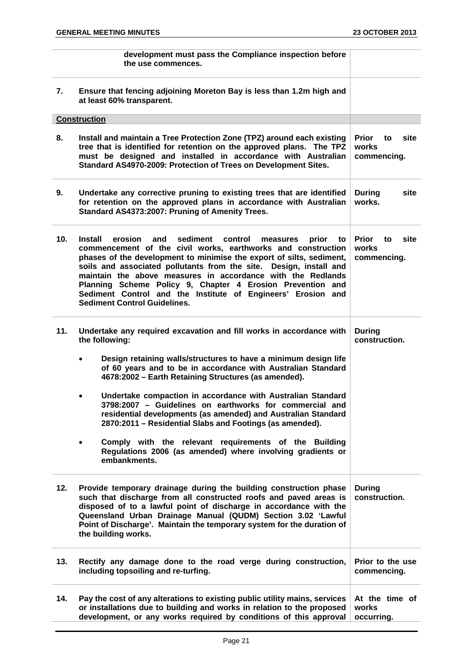**development must pass the Compliance inspection before the use commences. 7. Ensure that fencing adjoining Moreton Bay is less than 1.2m high and at least 60% transparent. Construction 8. Install and maintain a Tree Protection Zone (TPZ) around each existing tree that is identified for retention on the approved plans. The TPZ must be designed and installed in accordance with Australian Standard AS4970-2009: Protection of Trees on Development Sites. Prior to site works commencing. 9. Undertake any corrective pruning to existing trees that are identified for retention on the approved plans in accordance with Australian Standard AS4373:2007: Pruning of Amenity Trees. During site works. 10. Install erosion and sediment control measures prior to commencement of the civil works, earthworks and construction phases of the development to minimise the export of silts, sediment, soils and associated pollutants from the site. Design, install and maintain the above measures in accordance with the Redlands Planning Scheme Policy 9, Chapter 4 Erosion Prevention and Sediment Control and the Institute of Engineers' Erosion and Sediment Control Guidelines. Prior to site works commencing. 11. Undertake any required excavation and fill works in accordance with the following:**  • **Design retaining walls/structures to have a minimum design life of 60 years and to be in accordance with Australian Standard 4678:2002 – Earth Retaining Structures (as amended).**  • **Undertake compaction in accordance with Australian Standard 3798:2007 – Guidelines on earthworks for commercial and residential developments (as amended) and Australian Standard 2870:2011 – Residential Slabs and Footings (as amended).**  • **Comply with the relevant requirements of the Building Regulations 2006 (as amended) where involving gradients or embankments. During construction. 12. Provide temporary drainage during the building construction phase such that discharge from all constructed roofs and paved areas is disposed of to a lawful point of discharge in accordance with the Queensland Urban Drainage Manual (QUDM) Section 3.02 'Lawful Point of Discharge'. Maintain the temporary system for the duration of the building works. During construction. 13. Rectify any damage done to the road verge during construction, including topsoiling and re-turfing. Prior to the use commencing. 14. Pay the cost of any alterations to existing public utility mains, services or installations due to building and works in relation to the proposed development, or any works required by conditions of this approval At the time of works occurring.**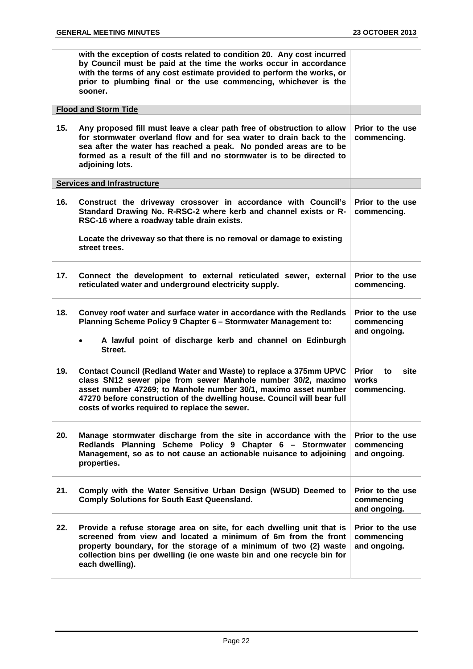|     | with the exception of costs related to condition 20. Any cost incurred<br>by Council must be paid at the time the works occur in accordance<br>with the terms of any cost estimate provided to perform the works, or<br>prior to plumbing final or the use commencing, whichever is the<br>sooner.                               |                                                    |
|-----|----------------------------------------------------------------------------------------------------------------------------------------------------------------------------------------------------------------------------------------------------------------------------------------------------------------------------------|----------------------------------------------------|
|     | <b>Flood and Storm Tide</b>                                                                                                                                                                                                                                                                                                      |                                                    |
| 15. | Any proposed fill must leave a clear path free of obstruction to allow<br>for stormwater overland flow and for sea water to drain back to the<br>sea after the water has reached a peak. No ponded areas are to be<br>formed as a result of the fill and no stormwater is to be directed to<br>adjoining lots.                   | Prior to the use<br>commencing.                    |
|     | <b>Services and Infrastructure</b>                                                                                                                                                                                                                                                                                               |                                                    |
| 16. | Construct the driveway crossover in accordance with Council's<br>Standard Drawing No. R-RSC-2 where kerb and channel exists or R-<br>RSC-16 where a roadway table drain exists.                                                                                                                                                  | Prior to the use<br>commencing.                    |
|     | Locate the driveway so that there is no removal or damage to existing<br>street trees.                                                                                                                                                                                                                                           |                                                    |
| 17. | Connect the development to external reticulated sewer, external<br>reticulated water and underground electricity supply.                                                                                                                                                                                                         | Prior to the use<br>commencing.                    |
| 18. | Convey roof water and surface water in accordance with the Redlands<br>Planning Scheme Policy 9 Chapter 6 - Stormwater Management to:<br>A lawful point of discharge kerb and channel on Edinburgh<br>$\bullet$                                                                                                                  | Prior to the use<br>commencing<br>and ongoing.     |
|     | Street.                                                                                                                                                                                                                                                                                                                          |                                                    |
| 19. | Contact Council (Redland Water and Waste) to replace a 375mm UPVC<br>class SN12 sewer pipe from sewer Manhole number 30/2, maximo<br>asset number 47269; to Manhole number 30/1, maximo asset number<br>47270 before construction of the dwelling house. Council will bear full<br>costs of works required to replace the sewer. | <b>Prior</b><br>site<br>to<br>works<br>commencing. |
| 20. | Manage stormwater discharge from the site in accordance with the<br>Redlands Planning Scheme Policy 9 Chapter 6 - Stormwater<br>Management, so as to not cause an actionable nuisance to adjoining<br>properties.                                                                                                                | Prior to the use<br>commencing<br>and ongoing.     |
| 21. | Comply with the Water Sensitive Urban Design (WSUD) Deemed to<br><b>Comply Solutions for South East Queensland.</b>                                                                                                                                                                                                              | Prior to the use<br>commencing<br>and ongoing.     |
| 22. | Provide a refuse storage area on site, for each dwelling unit that is<br>screened from view and located a minimum of 6m from the front<br>property boundary, for the storage of a minimum of two (2) waste<br>collection bins per dwelling (ie one waste bin and one recycle bin for<br>each dwelling).                          | Prior to the use<br>commencing<br>and ongoing.     |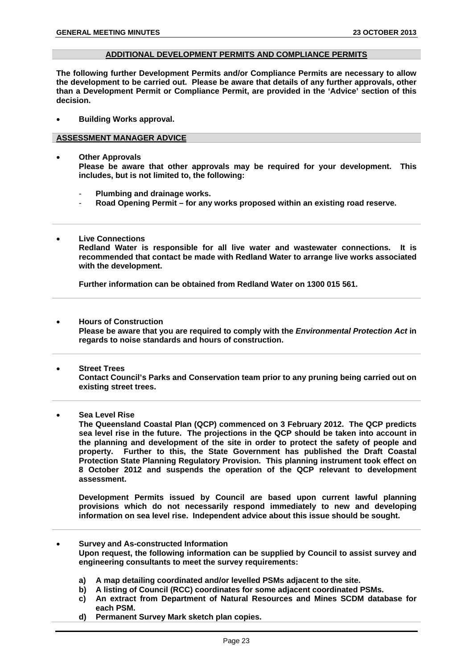#### **ADDITIONAL DEVELOPMENT PERMITS AND COMPLIANCE PERMITS**

**The following further Development Permits and/or Compliance Permits are necessary to allow the development to be carried out. Please be aware that details of any further approvals, other than a Development Permit or Compliance Permit, are provided in the 'Advice' section of this decision.** 

• **Building Works approval.** 

#### **ASSESSMENT MANAGER ADVICE**

- **Other Approvals Please be aware that other approvals may be required for your development. This includes, but is not limited to, the following:** 
	- **Plumbing and drainage works.**
	- **Road Opening Permit for any works proposed within an existing road reserve.**
- **Live Connections Redland Water is responsible for all live water and wastewater connections. It is recommended that contact be made with Redland Water to arrange live works associated with the development.**

**Further information can be obtained from Redland Water on 1300 015 561.** 

- **Hours of Construction Please be aware that you are required to comply with the** *Environmental Protection Act* **in regards to noise standards and hours of construction.**
- **Street Trees Contact Council's Parks and Conservation team prior to any pruning being carried out on existing street trees.**
- **Sea Level Rise**

**The Queensland Coastal Plan (QCP) commenced on 3 February 2012. The QCP predicts sea level rise in the future. The projections in the QCP should be taken into account in the planning and development of the site in order to protect the safety of people and property. Further to this, the State Government has published the Draft Coastal Protection State Planning Regulatory Provision. This planning instrument took effect on 8 October 2012 and suspends the operation of the QCP relevant to development assessment.** 

**Development Permits issued by Council are based upon current lawful planning provisions which do not necessarily respond immediately to new and developing information on sea level rise. Independent advice about this issue should be sought.** 

- **Survey and As-constructed Information Upon request, the following information can be supplied by Council to assist survey and engineering consultants to meet the survey requirements:** 
	- **a) A map detailing coordinated and/or levelled PSMs adjacent to the site.**
	- **b) A listing of Council (RCC) coordinates for some adjacent coordinated PSMs.**
	- **c) An extract from Department of Natural Resources and Mines SCDM database for each PSM.**
	- **d) Permanent Survey Mark sketch plan copies.**